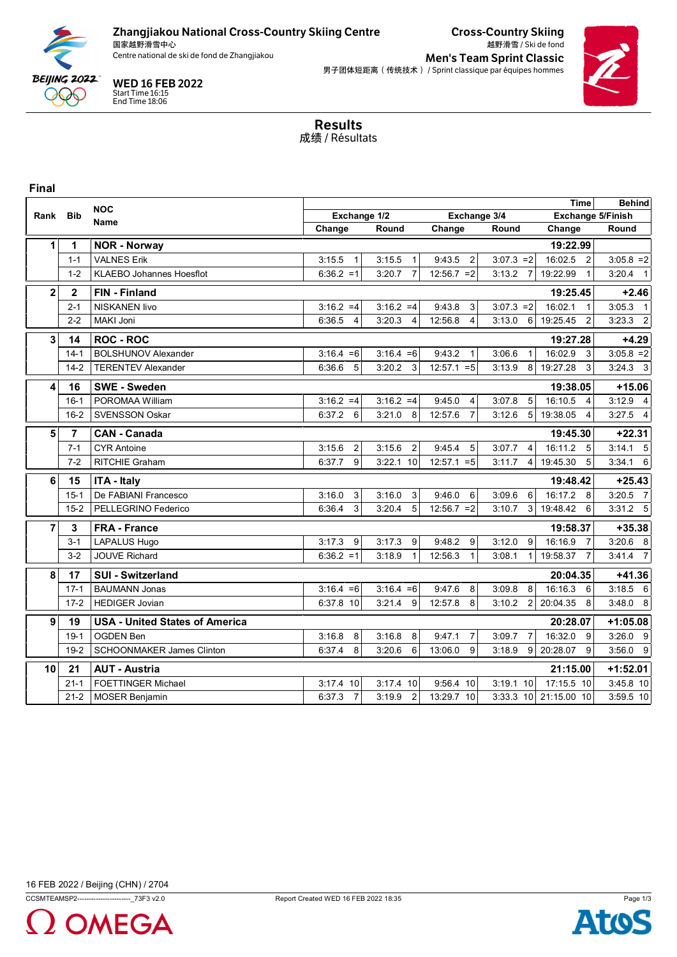

## Zhangjiakou National Cross-Country Skiing Centre

国家越野滑雪中心<br>Centre national de ski de fond de Zhangjiakou

Cross-Country Skiing 越野滑雪 / Ski de fond

**Men's Team Sprint Classic** 男子团体短距离(传统技术) / Sprint classique par équipes hommes



WED 16 FEB 2022 Start Time 16:15 End Time 18:06

> Results 成绩 / Résultats

### **Final**

|                |                | <b>NOC</b>                            |                          | <b>Time</b>              | <b>Behind</b>             |                          |                            |              |
|----------------|----------------|---------------------------------------|--------------------------|--------------------------|---------------------------|--------------------------|----------------------------|--------------|
| Rank           | <b>Bib</b>     | <b>Name</b>                           | Exchange 1/2             |                          | Exchange 3/4              |                          | Exchange 5/Finish          |              |
|                |                |                                       | Change                   | Round                    | Change                    | Round                    | Change                     | Round        |
| 1              | 1              | <b>NOR - Norway</b>                   |                          |                          |                           |                          | 19:22.99                   |              |
|                | $1 - 1$        | <b>VALNES Erik</b>                    | 3:15.5<br>$\mathbf{1}$   | 3:15.5                   | 9:43.5<br>2               | $3:07.3 = 2$             | 16:02.5<br>$\overline{2}$  | $3:05.8 = 2$ |
|                | $1 - 2$        | <b>KLAEBO Johannes Hoesflot</b>       | $6:36.2 = 1$             | 3:20.7                   | $12:56.7 = 2$             | 3:13.2<br>$\overline{7}$ | 19:22.99<br>$\mathbf{1}$   | $3:20.4$ 1   |
| $\overline{2}$ | $\mathbf{2}$   | <b>FIN - Finland</b>                  |                          |                          |                           |                          | 19:25.45                   | $+2.46$      |
|                | $2 - 1$        | <b>NISKANEN livo</b>                  | $3:16.2 = 4$             | $3:16.2 = 4$             | 9:43.8<br>3               | $3:07.3 = 2$             | 16:02.1<br>$\mathbf{1}$    | $3:05.3$ 1   |
|                | $2 - 2$        | MAKI Joni                             | $\overline{4}$<br>6:36.5 | 3:20.3<br>$\overline{4}$ | 12:56.8<br>4              | 3:13.0<br>6              | $\overline{2}$<br>19:25.45 | $3:23.3$ 2   |
| 3              | 14             | <b>ROC - ROC</b>                      |                          |                          |                           |                          | 19:27.28                   | $+4.29$      |
|                | $14 - 1$       | <b>BOLSHUNOV Alexander</b>            | $3:16.4 = 6$             | $3:16.4 = 6$             | 9:43.2<br>$\mathbf{1}$    | 3:06.6<br>$\mathbf{1}$   | 16:02.9<br>$\mathbf{3}$    | $3:05.8 = 2$ |
|                | $14 - 2$       | <b>TERENTEV Alexander</b>             | 6:36.6<br>5              | 3:20.2<br>- 3            | $12:57.1 = 5$             | 8<br>3:13.9              | 19:27.28<br>$\mathbf{3}$   | $3:24.3$ 3   |
| 4              | 16             | <b>SWE - Sweden</b>                   |                          |                          |                           |                          | 19:38.05                   | $+15.06$     |
|                | $16 - 1$       | POROMAA William                       | $3:16.2 = 4$             | $3:16.2 = 4$             | 9:45.0<br>4               | 5<br>3:07.8              | 16:10.5<br>$\overline{4}$  | $3:12.9$ 4   |
|                | $16 - 2$       | <b>SVENSSON Oskar</b>                 | 6:37.2<br>6              | 3:21.0<br>8              | 12:57.6<br>$\overline{7}$ | 5 <sub>l</sub><br>3:12.6 | 19:38.05<br>$\overline{4}$ | $3:27.5$ 4   |
| 5              | $\overline{7}$ | <b>CAN - Canada</b>                   |                          |                          |                           |                          | 19:45.30                   | $+22.31$     |
|                | $7 - 1$        | <b>CYR Antoine</b>                    | 3:15.6<br>2              | 3:15.6<br>2              | 9:45.4<br>5               | 3:07.7<br>$\overline{4}$ | 16:11.2<br>5               | $3:14.1$ 5   |
|                | $7 - 2$        | RITCHIE Graham                        | 6:37.7<br>9              | 3:22.1 10                | $12:57.1 = 5$             | $\overline{4}$<br>3:11.7 | 5<br>19:45.30              | $3:34.1$ 6   |
| 6              | 15             | <b>ITA - Italy</b>                    |                          |                          |                           |                          | 19:48.42                   | $+25.43$     |
|                | $15 - 1$       | De FABIANI Francesco                  | 3<br>3:16.0              | 3:16.0<br>3              | 9:46.0<br>6               | 3:09.6<br>6              | 16:17.2<br>8               | 3:20.5 7     |
|                | $15 - 2$       | PELLEGRINO Federico                   | 3<br>6:36.4              | 3:20.4<br>5              | $12:56.7 = 2$             | 3:10.7<br>3 <sup>1</sup> | 19:48.42<br>6              | $3:31.2$ 5   |
| $\overline{7}$ | 3              | <b>FRA - France</b>                   |                          |                          |                           |                          | 19:58.37                   | $+35.38$     |
|                | $3 - 1$        | LAPALUS Hugo                          | 3:17.3<br>9              | 3:17.3<br>9              | 9:48.2<br>9               | 9<br>3:12.0              | 16:16.9<br>$\overline{7}$  | $3:20.6$ 8   |
|                | $3-2$          | <b>JOUVE Richard</b>                  | $6:36.2 = 1$             | 3:18.9<br>$\mathbf{1}$   | 12:56.3                   | 3:08.1<br>11             | $\overline{7}$<br>19:58.37 | 3:41.4 7     |
| 8              | 17             | <b>SUI - Switzerland</b>              |                          |                          |                           |                          | 20:04.35                   | $+41.36$     |
|                | $17 - 1$       | <b>BAUMANN Jonas</b>                  | $3:16.4 = 6$             | $3:16.4 = 6$             | 9:47.6<br>8               | 3:09.8<br>8              | 16:16.3<br>6               | $3:18.5$ 6   |
|                | $17 - 2$       | <b>HEDIGER Jovian</b>                 | 6:37.8 10                | 3:21.4<br>9              | 12:57.8<br>8              | 3:10.2<br>2              | 20:04.35<br>8              | 3:48.0 8     |
| 9              | 19             | <b>USA - United States of America</b> |                          |                          |                           |                          | 20:28.07                   | $+1:05.08$   |
|                | $19-1$         | <b>OGDEN Ben</b>                      | 3:16.8<br>8              | 3:16.8<br>8              | 9:47.1<br>$\overline{7}$  | $\overline{7}$<br>3:09.7 | 16:32.0<br>9               | $3:26.0$ 9   |
|                | $19-2$         | <b>SCHOONMAKER James Clinton</b>      | 6:37.4<br>8              | 6<br>3:20.6              | 13:06.0<br>9              | 3:18.9<br>$9^{\circ}$    | 20:28.07<br>9              | $3:56.0$ 9   |
| 10             | 21             | <b>AUT - Austria</b>                  |                          |                          |                           |                          | 21:15.00                   | $+1:52.01$   |
|                | $21 - 1$       | <b>FOETTINGER Michael</b>             | 3:17.4 10                | 3:17.4 10                | 9:56.4 10                 | 3:19.1 10                | 17:15.5 10                 | 3:45.8 10    |
|                | $21 - 2$       | <b>MOSER Benjamin</b>                 | 6:37.3<br>$\overline{7}$ | 3:19.9<br>$\overline{2}$ | 13:29.7 10                | 3:33.3 10                | 21:15.00 10                | 3:59.5 10    |



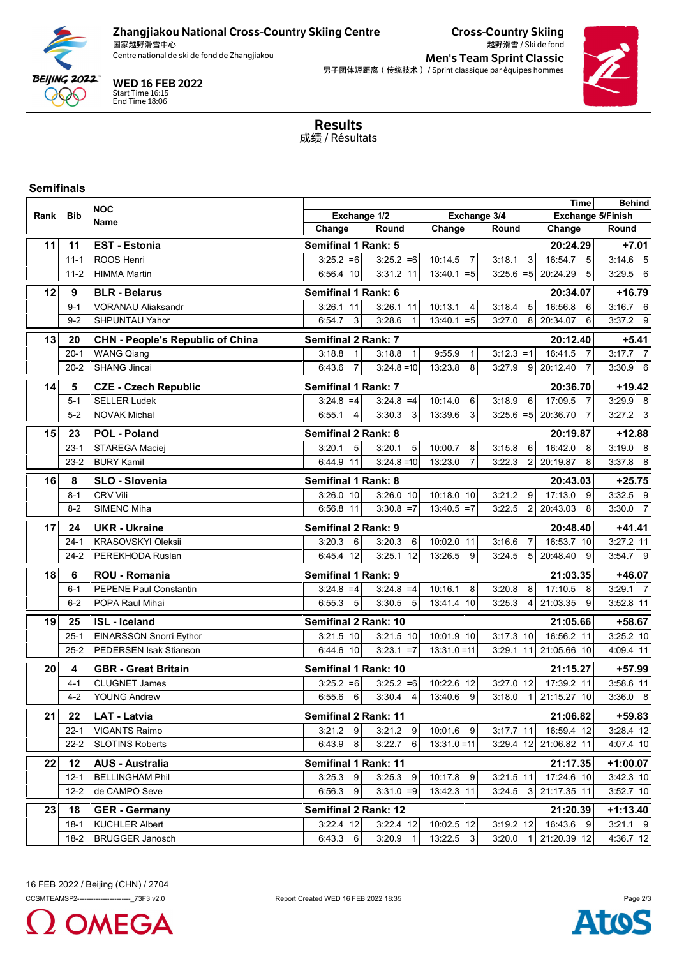

# Zhangjiakou National Cross-Country Skiing Centre

国家越野滑雪中心<br>Centre national de ski de fond de Zhangjiakou

Cross-Country Skiing 越野滑雪 / Ski de fond

Men's Team Sprint Classic 男子团体短距离(传统技术) / Sprint classique par équipes hommes



WED 16 FEB 2022 Start Time 16:15 End Time 18:06

> Results 成绩 / Résultats

### **Semifinals**

|      |            | <b>NOC</b>                              | <b>Time</b>                  |                          |                           |                          |                            |             |
|------|------------|-----------------------------------------|------------------------------|--------------------------|---------------------------|--------------------------|----------------------------|-------------|
| Rank | <b>Bib</b> | Name                                    | Exchange 3/4<br>Exchange 1/2 |                          |                           |                          | <b>Exchange 5/Finish</b>   |             |
|      |            |                                         | Change                       | Round                    | Change                    | Round                    | Change                     | Round       |
| 11   | 11         | <b>EST - Estonia</b>                    | <b>Semifinal 1 Rank: 5</b>   |                          |                           |                          | 20:24.29                   | $+7.01$     |
|      | $11 - 1$   | ROOS Henri                              | $3:25.2 = 6$                 | $3:25.2 = 6$             | 10:14.5<br>$\overline{7}$ | 3:18.1<br>3              | 16:54.7<br>5               | $3:14.6$ 5  |
|      | $11 - 2$   | <b>HIMMA Martin</b>                     | 6:56.4 10                    | 3:31.2 11                | $13:40.1 = 5$             | $3:25.6 = 5$             | 5<br>20:24.29              | $3:29.5$ 6  |
| 12   | 9          | <b>BLR - Belarus</b>                    | Semifinal 1 Rank: 6          |                          |                           |                          | 20:34.07                   | $+16.79$    |
|      | $9 - 1$    | <b>VORANAU Aliaksandr</b>               | 3:26.1 11                    | 3:26.1 11                | 10:13.1<br>4              | 3:18.4<br>5              | 16:56.8<br>6               | $3:16.7$ 6  |
|      | $9 - 2$    | SHPUNTAU Yahor                          | 6:54.7<br>3                  | 3:28.6<br>$\mathbf{1}$   | $13:40.1 = 5$             | 3:27.0<br>8              | 20:34.07<br>6              | 3:37.2 9    |
| 13   | 20         | <b>CHN - People's Republic of China</b> | <b>Semifinal 2 Rank: 7</b>   |                          |                           |                          | 20:12.40                   | $+5.41$     |
|      | $20 - 1$   | <b>WANG Qiang</b>                       | 3:18.8<br>$\mathbf{1}$       | 3:18.8<br>$\mathbf{1}$   | 9:55.9<br>$\mathbf{1}$    | $3:12.3 = 1$             | 16:41.5<br>$\overline{7}$  | $3:17.7$ 7  |
|      | $20 - 2$   | <b>SHANG Jincai</b>                     | $\overline{7}$<br>6:43.6     | $3:24.8 = 10$            | 13:23.8<br>8              | 9<br>3:27.9              | $\overline{7}$<br>20:12.40 | $3:30.9$ 6  |
| 14   | 5          | <b>CZE - Czech Republic</b>             | <b>Semifinal 1 Rank: 7</b>   |                          |                           |                          | 20:36.70                   | $+19.42$    |
|      | $5 - 1$    | <b>SELLER Ludek</b>                     | $3:24.8 = 4$                 | $3:24.8 = 4$             | 10:14.0<br>6              | 3:18.9<br>6              | 17:09.5<br>$\overline{7}$  | 3:29.9 8    |
|      | $5-2$      | <b>NOVAK Michal</b>                     | 6:55.1<br>4                  | 3:30.3<br>3              | 13:39.6<br>3              | $3:25.6 = 5$ 20:36.70    | $\overline{7}$             | $3:27.2$ 3  |
| 15   | 23         | <b>POL - Poland</b>                     | Semifinal 2 Rank: 8          |                          |                           |                          | 20:19.87                   | $+12.88$    |
|      | $23 - 1$   | STAREGA Maciej                          | $\sqrt{5}$<br>3:20.1         | 5<br>3:20.1              | 10:00.7<br>8              | 3:15.8<br>6              | 16:42.0<br>8               | $3:19.0$ 8  |
|      | $23 - 2$   | <b>BURY Kamil</b>                       | 6:44.9 11                    | $3:24.8 = 10$            | 13:23.0<br>$\overline{7}$ | 3:22.3<br>$\overline{2}$ | 20:19.87<br>8              | 3:37.8 8    |
| 16   | 8          | SLO - Slovenia                          | <b>Semifinal 1 Rank: 8</b>   |                          |                           |                          | 20:43.03                   | $+25.75$    |
|      | $8 - 1$    | <b>CRV Vili</b>                         | 3:26.0 10                    | 3:26.0 10                | 10:18.0 10                | 3:21.2<br>9              | 17:13.0<br>9               | $3:32.5$ 9  |
|      | $8 - 2$    | SIMENC Miha                             | 6:56.8 11                    | $3:30.8 = 7$             | $13:40.5 = 7$             | $\overline{2}$<br>3:22.5 | 8<br>20:43.03              | 3:30.0 7    |
| 17   | 24         | <b>UKR - Ukraine</b>                    | Semifinal 2 Rank: 9          |                          |                           |                          | 20:48.40                   | $+41.41$    |
|      | $24 - 1$   | <b>KRASOVSKYI Oleksii</b>               | 6<br>3:20.3                  | 3:20.3<br>6              | 10:02.0 11                | 3:16.6<br>$\overline{7}$ | 16:53.7 10                 | 3:27.2 11   |
|      | $24 - 2$   | PEREKHODA Ruslan                        | 6:45.4 12                    | 3:25.1 12                | 13:26.5<br>9              | 3:24.5<br>5 <sub>5</sub> | 20:48.40<br>9              | 3:54.7 9    |
| 18   | 6          | ROU - Romania                           | <b>Semifinal 1 Rank: 9</b>   |                          |                           |                          | 21:03.35                   | +46.07      |
|      | $6 - 1$    | <b>PEPENE Paul Constantin</b>           | $3:24.8 = 4$                 | $3:24.8 = 4$             | 10:16.1<br>8              | 3:20.8<br>8 <sup>1</sup> | 17:10.5<br>8               | $3:29.1$ 7  |
|      | $6 - 2$    | POPA Raul Mihai                         | 6:55.3<br>5                  | 3:30.5<br>5              | 13:41.4 10                | 3:25.3<br>$\overline{4}$ | 21:03.35<br>9              | 3:52.8 11   |
| 19   | 25         | <b>ISL - Iceland</b>                    | Semifinal 2 Rank: 10         |                          |                           |                          | 21:05.66                   | $+58.67$    |
|      | $25 - 1$   | EINARSSON Snorri Eythor                 | 3:21.5 10                    | 3:21.5 10                | 10:01.9 10                | 3:17.3 10                | 16:56.2 11                 | 3:25.2 10   |
|      | $25 - 2$   | PEDERSEN Isak Stianson                  | 6:44.6 10                    | $3:23.1 = 7$             | $13:31.0 = 11$            |                          | 3:29.1 11 21:05.66 10      | 4:09.4 11   |
| 20   | 4          | <b>GBR - Great Britain</b>              | Semifinal 1 Rank: 10         |                          |                           |                          | 21:15.27                   | $+57.99$    |
|      | $4 - 1$    | <b>CLUGNET James</b>                    | $3:25.2 = 6$                 | $3:25.2 = 6$             | 10:22.6 12                | $3:27.0$ 12              | 17:39.2 11                 | $3:58.6$ 11 |
|      | $4 - 2$    | <b>YOUNG Andrew</b>                     | 6:55.6<br>6                  | 3:30.4<br>$\overline{4}$ | 13:40.6<br>9              | 3:18.0<br>11             | 21:15.27 10                | 3:36.0 8    |
| 21   | 22         | <b>LAT - Latvia</b>                     | Semifinal 2 Rank: 11         |                          |                           |                          | 21:06.82                   | $+59.83$    |
|      | 22-1       | VIGANTS Raimo                           | 9<br>3:21.2                  | $3:21.2$ 9               | 10:01.6<br>9              | $3:17.7$ 11              | 16:59.4 12                 | $3:28.4$ 12 |
|      | 22-2       | <b>SLOTINS Roberts</b>                  | 8<br>6:43.9                  | $3:22.7$ 6               | $13:31.0 = 11$            |                          | 3:29.4 12 21:06.82 11      | 4:07.4 10   |
| 22   | 12         | <b>AUS - Australia</b>                  | Semifinal 1 Rank: 11         |                          |                           |                          | 21:17.35                   | $+1:00.07$  |
|      | $12 - 1$   | <b>BELLINGHAM Phil</b>                  | 3:25.3<br>9                  | 3:25.3<br>9              | 10:17.8<br>9              | 3:21.5 11                | 17:24.6 10                 | 3:42.3 10   |
|      | $12 - 2$   | de CAMPO Seve                           | 6:56.3<br>9                  | $3:31.0 = 9$             | 13:42.3 11                | 3:24.5<br>3              | 21:17.35 11                | 3:52.7 10   |
| 23   | 18         | <b>GER</b> - Germany                    | Semifinal 2 Rank: 12         |                          |                           |                          | 21:20.39                   | $+1:13.40$  |
|      | $18 - 1$   | <b>KUCHLER Albert</b>                   | 3:22.4 12                    | 3:22.4 12                | 10:02.5 12                | 3:19.2 12                | 16:43.6 9                  | $3:21.1$ 9  |
|      | $18 - 2$   | <b>BRUGGER Janosch</b>                  | 6:43.3<br>- 6                | $3:20.9$ 1               | 13:22.5 3                 | 3.20.0<br>$\overline{1}$ | 21:20.39 12                | 4:36.7 12   |

**OMEGA**